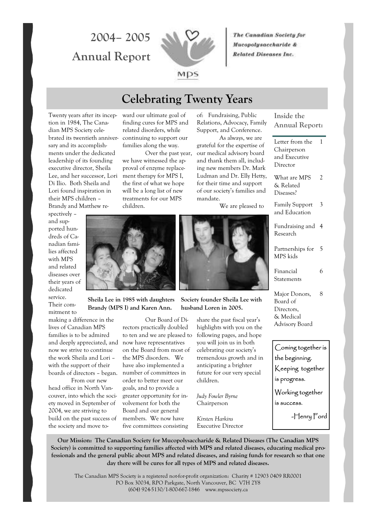## **2004– 2005 Annual Report**



The Canadian Society for Mucopolysaccharide & **Related Diseases Inc.** 

## **Celebrating Twenty Years**

Twenty years after its inception in 1984, The Canadian MPS Society celebrated its twentieth anniversary and its accomplishments under the dedicated leadership of its founding executive director, Sheila Lee, and her successor, Lori Di Ilio. Both Sheila and Lori found inspiration in their MPS children –

Brandy and Matthew re-

ward our ultimate goal of finding cures for MPS and related disorders, while continuing to support our families along the way.

 Over the past year, we have witnessed the approval of enzyme replacement therapy for MPS I, the first of what we hope will be a long list of new treatments for our MPS children.

of: Fundraising, Public Relations, Advocacy, Family Support, and Conference.

 As always, we are grateful for the expertise of our medical advisory board and thank them all, including new members Dr. Mark Ludman and Dr. Elly Hetty, for their time and support of our society's families and mandate.

We are pleased to

spectively – and supported hundreds of Canadian families affected with MPS and related diseases over their years of dedicated service. Their com-

mitment to making a difference in the

lives of Canadian MPS families is to be admired and deeply appreciated, and now have representatives now we strive to continue the work Sheila and Lori – with the support of their boards of directors – began.

 From our new head office in North Vancouver, into which the society moved in September of 2004, we are striving to build on the past success of the society and move to-



**Sheila Lee in 1985 with daughters Brandy (MPS I) and Karen Ann.** 

> Our Board of Directors practically doubled to ten and we are pleased to on the Board from most of the MPS disorders. We have also implemented a number of committees in order to better meet our goals, and to provide a greater opportunity for involvement for both the Board and our general members. We now have five committees consisting



**Society founder Sheila Lee with husband Loren in 2005.** 

> share the past fiscal year's highlights with you on the following pages, and hope you will join us in both celebrating our society's tremendous growth and in anticipating a brighter future for our very special

children.

*Judy Fowler Byrne*  Chairperson

*Kirsten Harkins*  Executive Director

**Inside the Annual Report:** 

Letter from the Chairperson and Executive Director

1

What are MPS & Related Diseases?  $\mathfrak{D}$ 

Family Support and Education 3

Fundraising and 4 Research

Partnerships for 5 MPS kids

Financial Statements 6

Major Donors, Board of Directors. & Medical Advisory Board 8

Coming together is the beginning. Keeping together is progress.

Working together is success.

-Henry Ford

**Our Mission: The Canadian Society for Mucopolysaccharide & Related Diseases (The Canadian MPS Society) is committed to supporting families affected with MPS and related diseases, educating medical professionals and the general public about MPS and related diseases, and raising funds for research so that one day there will be cures for all types of MPS and related diseases.** 

The Canadian MPS Society is a registered not-for-profit organization: Charity # 12903 0409 RR0001 PO Box 30034, RPO Parkgate, North Vancouver, BC V7H 2Y8 (604) 924-5130/1-800-667-1846 www.mpssociety.ca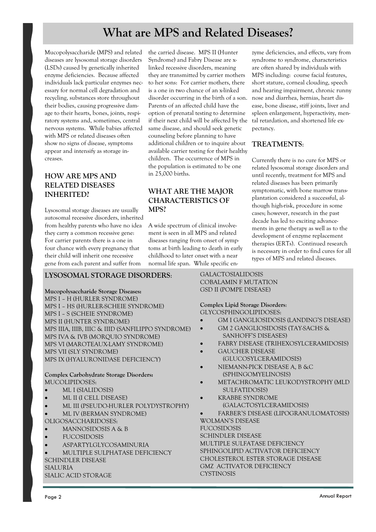## **What are MPS and Related Diseases?**

Mucopolysaccharide (MPS) and related diseases are lysosomal storage disorders (LSDs) caused by genetically inherited enzyme deficiencies. Because affected individuals lack particular enzymes necessary for normal cell degradation and recycling, substances store throughout their bodies, causing progressive damage to their hearts, bones, joints, respiratory systems and, sometimes, central nervous systems. While babies affected with MPS or related diseases often show no signs of disease, symptoms appear and intensify as storage increases.

### **HOW ARE MPS AND RELATED DISEASES INHERITED?**

Lysosomal storage diseases are usually autosomal recessive disorders, inherited from healthy parents who have no idea they carry a common recessive gene: For carrier parents there is a one in four chance with every pregnancy that their child will inherit one recessive gene from each parent and suffer from

### **LYSOSOMAL STORAGE DISORDERS**:

**Mucopolysaccharide Storage Diseases:**  MPS I – H (HURLER SYNDROME) MPS I – HS (HURLER-SCHEIE SYNDROME) MPS I – S (SCHEIE SYNDROME) MPS II (HUNTER SYNDROME) MPS IIIA, IIIB, IIIC & IIID (SANFILIPPO SYNDROME) MPS IVA & IVB (MORQUIO SYNDROME) MPS VI (MAROTEAUX-LAMY SYNDROME) MPS VII (SLY SYNDROME) MPS IX (HYALURONIDASE DEFICIENCY)

#### **Complex Carbohydrate Storage Disorders:** MUCOLIPIDOSES:

- ML I (SIALIDOSIS)
- ML II (I CELL DISEASE)
- ML III (PSEUDO-HURLER POLYDYSTROPHY)
- ML IV (BERMAN SYNDROME)
- OLIGOSACCHARIDOSES:
- MANNOSIDOSIS A & B
- FUCOSIDOSIS
- ASPARTYLGLYCOSAMINURIA
- MULTIPLE SULPHATASE DEFICIENCY SCHINDLER DISEASE

SIALURIA

#### SIALIC ACID STORAGE

the carried disease. MPS II (Hunter Syndrome) and Fabry Disease are xlinked recessive disorders, meaning they are transmitted by carrier mothers to her sons: For carrier mothers, there is a one in two chance of an x-linked disorder occurring in the birth of a son. Parents of an affected child have the option of prenatal testing to determine if their next child will be affected by the same disease, and should seek genetic counseling before planning to have additional children or to inquire about available carrier testing for their healthy children. The occurrence of MPS in the population is estimated to be one in 25,000 births.

### **WHAT ARE THE MAJOR CHARACTERISTICS OF MPS?**

A wide spectrum of clinical involvement is seen in all MPS and related diseases ranging from onset of symptoms at birth leading to death in early childhood to later onset with a near normal life span. While specific en-

zyme deficiencies, and effects, vary from syndrome to syndrome, characteristics are often shared by individuals with MPS including: course facial features, short stature, corneal clouding, speech and hearing impairment, chronic runny nose and diarrhea, hernias, heart disease, bone disease, stiff joints, liver and spleen enlargement, hyperactivity, mental retardation, and shortened life expectancy.

### **TREATMENTS**:

Currently there is no cure for MPS or related lysosomal storage disorders and until recently, treatment for MPS and related diseases has been primarily symptomatic, with bone marrow transplantation considered a successful, although high-risk, procedure in some cases; however, research in the past decade has led to exciting advancements in gene therapy as well as to the development of enzyme replacement therapies (ERTs). Continued research is necessary in order to find cures for all types of MPS and related diseases.

GALACTOSIALIDOSIS COBALAMIN F MUTATION GSD II (POMPE DISEASE)

**Complex Lipid Storage Disorders**: GLYCOSPHINGOLIPIDOSES:

- GM I GANGLIOSIDOSIS (LANDING'S DISEASE)
- GM 2 GANGLIOSIDOSIS (TAY-SACHS & SANHOFF'S DISEASES)
- FABRY DISEASE (TRIHEXOSYLCERAMIDOSIS)
- GAUCHER DISEASE
- (GLUCOSYLCERAMIDOSIS)
- NIEMANN-PICK DISEASE A, B &C (SPHINGOMYELINOSIS)
- METACHROMATIC LEUKODYSTROPHY (MLD SULFATIDOSIS)
- KRABBE SYNDROME (GALACTOSYLCERAMIDOSIS)
- FARBER'S DISEASE (LIPOGRANULOMATOSIS)

WOLMAN'S DISEASE FUCOSIDOSIS SCHINDLER DISEASE MULTIPLE SULFATASE DEFICIENCY SPHINGOLIPID ACTIVATOR DEFICIENCY CHOLESTEROL ESTER STORAGE DISEASE GMZ ACTIVATOR DEFICIENCY CYSTINOSIS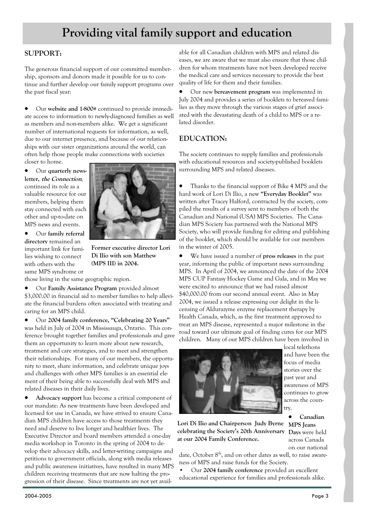## **Providing vital family support and education**

### **SUPPORT:**

The generous financial support of our committed membership, sponsors and donors made it possible for us to continue and further develop our family support programs over the past fiscal year:

• Our **website and 1-800#** continued to provide immediate access to information to newly-diagnosed families as well as members and non-members alike. We get a significant number of international requests for information, as well, due to our internet presence, and because of our relationships with our sister organizations around the world, can often help those people make connections with societies

closer to home. • Our **quarterly newsletter, the Connection***,*  continued its role as a valuable resource for our members, helping them stay connected with each other and up-to-date on MPS news and events.

• Our **family referral directory** remained an important link for families wishing to connect with others with the same MPS syndrome or

those living in the same geographic region.

• Our **Family Assistance Program** provided almost \$3,000.00 in financial aid to member families to help alleviate the financial burdens often associated with treating and caring for an MPS child.

• Our **2004 family conference, "Celebrating 20 Years"** was held in July of 2004 in Mississauga, Ontario. This conference brought together families and professionals and gave them an opportunity to learn more about new research, treatment and care strategies, and to meet and strengthen their relationships. For many of our members, the opportunity to meet, share information, and celebrate unique joys and challenges with other MPS families is an essential element of their being able to successfully deal with MPS and related diseases in their daily lives.

• **Advocacy support** has become a critical component of our mandate: As new treatments have been developed and licensed for use in Canada, we have strived to ensure Canadian MPS children have access to those treatments they need and deserve to live longer and healthier lives. The Executive Director and board members attended a one-day media workshop in Toronto in the spring of 2004 to develop their advocacy skills, and letter-writing campaigns and petitions to government officials, along with media releases and public awareness initiatives, have resulted in many MPS children receiving treatments that are now halting the progression of their disease. Since treatments are not yet avail-

able for all Canadian children with MPS and related diseases, we are aware that we must also ensure that those children for whom treatments have not been developed receive the medical care and services necessary to provide the best quality of life for them and their families.

• Our new **bereavement program** was implemented in July 2004 and provides a series of booklets to bereaved families as they move through the various stages of grief associated with the devastating death of a child to MPS or a related disorder.

### **EDUCATION:**

The society continues to supply families and professionals with educational resources and society-published booklets surrounding MPS and related diseases.

• Thanks to the financial support of Bike 4 MPS and the hard work of Lori Di Ilio, a new **"Everyday Booklet"** was written after Tracey Halford, contracted by the society, compiled the results of a survey sent to members of both the Canadian and National (USA) MPS Societies. The Canadian MPS Society has partnered with the National MPS Society, who will provide funding for editing and publishing of the booklet, which should be available for our members in the winter of 2005.

• We have issued a number of **press releases** in the past year, informing the public of important news surrounding MPS. In April of 2004, we announced the date of the 2004 MPS CUP Fantasy Hockey Game and Gala, and in May we were excited to announce that we had raised almost \$40,000.00 from our second annual event. Also in May 2004, we issued a release expressing our delight in the licensing of Aldurazyme enzyme replacement therapy by Health Canada, which, as the first treatment approved to treat an MPS disease, represented a major milestone in the road toward our ultimate goal of finding cures for our MPS children. Many of our MPS children have been involved in



**MPS Jeans Lori Di Ilio and Chairperson Judy Byrne Days** were held **celebrating the Society's 20th Anniversary at our 2004 Family Conference.** 

date, October  $8<sup>th</sup>$ , and on other dates as well, to raise awareness of MPS and raise funds for the Society.

**•** Our **2004 family conference** provided an excellent educational experience for families and professionals alike.



**Former executive director Lori Di Ilio with son Matthew (MPS III) in 2004.** 

• **Canadian** 

across Canada on our national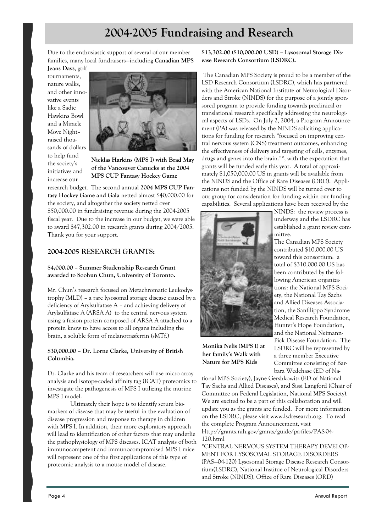## **2004-2005 Fundraising and Research**

Due to the enthusiastic support of several of our member families, many local fundraisers—including **Canadian MPS** 

**Jeans Days**, golf tournaments, nature walks, and other innovative events like a Sadie Hawkins Bowl and a Miracle Move Night– raised thousands of dollars to help fund the society's initiatives and increase our



**Nicklas Harkins (MPS I) with Brad May of the Vancouver Canucks at the 2004 MPS CUP Fantasy Hockey Game** 

research budget. The second annual **2004 MPS CUP Fantasy Hockey Game and Gala** netted almost \$40,000.00 for the society, and altogether the society netted over \$50,000.00 in fundraising revenue during the 2004-2005 fiscal year. Due to the increase in our budget, we were able to award \$47,302.00 in research grants during 2004/2005. Thank you for your support.

#### **2004-2005 RESEARCH GRANTS:**

**\$4,000.00 – Summer Studentship Research Grant awarded to Soohun Chun, University of Toronto.** 

Mr. Chun's research focused on Metachromatic Leukodystrophy (MLD) – a rare lysosomal storage disease caused by a deficiency of Arylsulfatase A – and achieving delivery of Arylsulfatase A (ARSA A) to the central nervous system using a fusion protein composed of ARSA A attached to a protein know to have access to all organs including the brain, a soluble form of melanotrasferrin (sMTf.)

#### **\$30,000.00 – Dr. Lorne Clarke, University of British Columbia.**

Dr. Clarke and his team of researchers will use micro array analysis and isotope-coded affinity tag (ICAT) proteomics to investigate the pathogenesis of MPS I utilizing the murine MPS I model.

 Ultimately their hope is to identify serum biomarkers of disease that may be useful in the evaluation of disease progression and response to therapy in children with MPS I. In addition, their more exploratory approach will lead to identification of other factors that may underlie the pathophysiology of MPS diseases. ICAT analysis of both immunocompetent and immunocompromised MPS I mice will represent one of the first applications of this type of proteomic analysis to a mouse model of disease.

**\$13,302.00 (\$10,000.00 USD) – Lysosomal Storage Disease Research Consortium (LSDRC).** 

 The Canadian MPS Society is proud to be a member of the LSD Research Consortium (LSDRC), which has partnered with the American National Institute of Neurological Disorders and Stroke (NINDS) for the purpose of a jointly sponsored program to provide funding towards preclinical or translational research specifically addressing the neurological aspects of LSDs. On July 2, 2004, a Program Announcement (PA) was released by the NINDS soliciting applications for funding for research "focused on improving central nervous system (CNS) treatment outcomes, enhancing the effectiveness of delivery and targeting of cells, enzymes, drugs and genes into the brain."\*, with the expectation that grants will be funded early this year. A total of approximately \$1,050,000.00 US in grants will be available from the NINDS and the Office of Rare Diseases (ORD). Applications not funded by the NINDS will be turned over to our group for consideration for funding within our funding capabilities. Several applications have been received by the



NINDS: the review process is underway and the LSDRC has established a grant review committee.

The Canadian MPS Society contributed \$10,000.00 US toward this consortium: a total of \$310,000.00 US has been contributed by the following American organizations: the National MPS Society, the National Tay Sachs and Allied Diseases Association, the Sanfilippo Syndrome Medical Research Foundation, Hunter's Hope Foundation, and the National Neimann-Pick Disease Foundation. The LSDRC will be represented by a three member Executive Committee consisting of Barbara Wedehase (ED of Na-

**Monika Nelis (MPS I) at her family's Walk with Nature for MPS Kids** 

tional MPS Society), Jayne Gershkowitz (ED of National Tay Sachs and Allied Diseases), and Sissi Langford (Chair of Committee on Federal Legislation, National MPS Society). We are excited to be a part of this collaboration and will update you as the grants are funded. For more information on the LSDRC, please visit www.lsdresearch.org. To read the complete Program Announcement, visit Http://grants.nih.gov/grants/guide/pa-files/PAS-04- 120.html

\*CENTRAL NERVOUS SYSTEM THERAPY DEVELOP-MENT FOR LYSOSOMAL STORAGE DISORDERS (PAS—04-120) Lysosomal Storage Disease Research Consortium(LSDRC), National Institue of Neurological Disorders and Stroke (NINDS), Office of Rare Diseases (ORD)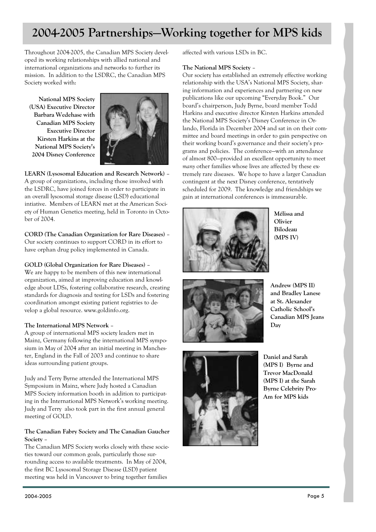## **2004-2005 Partnerships—Working together for MPS kids**

Throughout 2004-2005, the Canadian MPS Society developed its working relationships with allied national and international organizations and networks to further its mission. In addition to the LSDRC, the Canadian MPS Society worked with:

**National MPS Society (USA) Executive Director Barbara Wedehase with Canadian MPS Society Executive Director Kirsten Harkins at the National MPS Society's 2004 Disney Conference** 



**LEARN (Lysosomal Education and Research Network)** – A group of organizations, including those involved with the LSDRC, have joined forces in order to participate in an overall lysosomal storage disease (LSD) educational intiative. Members of LEARN met at the American Society of Human Genetics meeting, held in Toronto in October of 2004.

**CORD (The Canadian Organization for Rare Diseases)** – Our society continues to support CORD in its effort to have orphan drug policy implemented in Canada.

#### **GOLD (Global Organization for Rare Diseases)** –

We are happy to be members of this new international organization, aimed at improving education and knowledge about LDSs, fostering collaborative research, creating standards for diagnosis and testing for LSDs and fostering coordination amongst existing patient registries to develop a global resource. www.goldinfo.org.

#### **The International MPS Network** –

A group of international MPS society leaders met in Mainz, Germany following the international MPS symposium in May of 2004 after an initial meeting in Manchester, England in the Fall of 2003 and continue to share ideas surrounding patient groups.

Judy and Terry Byrne attended the International MPS Symposium in Mainz, where Judy hosted a Canadian MPS Society information booth in addition to participating in the International MPS Network's working meeting. Judy and Terry also took part in the first annual general meeting of GOLD.

#### **The Canadian Fabry Society and The Canadian Gaucher Society** –

The Canadian MPS Society works closely with these societies toward our common goals, particularly those surrounding access to available treatments. In May of 2004, the first BC Lysosomal Storage Disease (LSD) patient meeting was held in Vancouver to bring together families

affected with various LSDs in BC.

#### **The National MPS Society** –

Our society has established an extremely effective working relationship with the USA's National MPS Society, sharing information and experiences and partnering on new publications like our upcoming "Everyday Book." Our board's chairperson, Judy Byrne, board member Todd Harkins and executive director Kirsten Harkins attended the National MPS Society's Disney Conference in Orlando, Florida in December 2004 and sat in on their committee and board meetings in order to gain perspective on their working board's governance and their society's programs and policies. The conference—with an attendance of almost 800—provided an excellent opportunity to meet *many* other families whose lives are affected by these extremely rare diseases. We hope to have a larger Canadian contingent at the next Disney conference, tentatively scheduled for 2009. The knowledge and friendships we gain at international conferences is immeasurable.



**Mélissa and Olivier Bilodeau (MPS IV)** 



**Andrew (MPS II) and Bradley Lanese at St. Alexander Catholic School's Canadian MPS Jeans Day** 



**Daniel and Sarah (MPS I) Byrne and Trevor MacDonald (MPS I) at the Sarah Byrne Celebrity Pro-Am for MPS kids**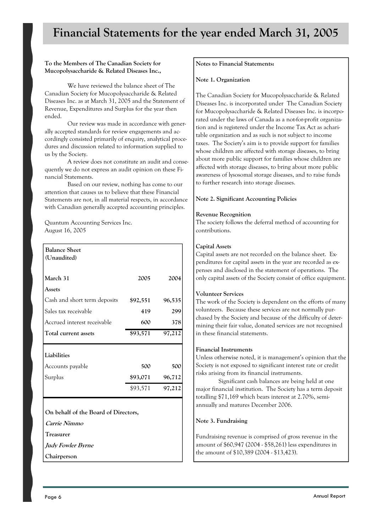## **Financial Statements for the year ended March 31, 2005**

#### **To the Members of The Canadian Society for Mucopolysaccharide & Related Diseases Inc.,**

 We have reviewed the balance sheet of The Canadian Society for Mucopolysaccharide & Related Diseases Inc. as at March 31, 2005 and the Statement of Revenue, Expenditures and Surplus for the year then ended.

 Our review was made in accordance with generally accepted standards for review engagements and accordingly consisted primarily of enquiry, analytical procedures and discussion related to information supplied to us by the Society.

 A review does not constitute an audit and consequently we do not express an audit opinion on these Financial Statements.

 Based on our review, nothing has come to our attention that causes us to believe that these Financial Statements are not, in all material respects, in accordance with Canadian generally accepted accounting principles.

Quantum Accounting Services Inc. August 16, 2005

| <b>Balance Sheet</b>         |          |        |
|------------------------------|----------|--------|
| (Unaudited)                  |          |        |
|                              |          |        |
| March 31                     | 2005     | 2004   |
| Assets                       |          |        |
| Cash and short term deposits | \$92,551 | 96,535 |
| Sales tax receivable         | 419      | 299    |
| Accrued interest receivable  | 600      | 378    |
| Total current assets         | \$93,571 | 97,212 |
| Liabilities                  |          |        |
| Accounts payable             | 500      | 500    |
| Surplus                      | \$93,071 | 96,712 |
|                              | \$93,571 | 97,212 |
|                              |          |        |

**On behalf of the Board of Directors,** 

**Carrie Nimmo** 

**Treasurer** 

**Judy Fowler Byrne** 

**Chairperson** 

#### **Notes to Financial Statements:**

#### **Note 1. Organization**

The Canadian Society for Mucopolysaccharide & Related Diseases Inc. is incorporated under The Canadian Society for Mucopolysaccharide & Related Diseases Inc. is incorporated under the laws of Canada as a not-for-profit organization and is registered under the Income Tax Act as acharitable organization and as such is not subject to income taxes. The Society's aim is to provide support for families whose children are affected with storage diseases, to bring about more public support for families whose children are affected with storage diseases, to bring about more public awareness of lysosomal storage diseases, and to raise funds to further research into storage diseases.

#### **Note 2. Significant Accounting Policies**

#### **Revenue Recognition**

The society follows the deferral method of accounting for contributions.

#### **Capital Assets**

Capital assets are not recorded on the balance sheet. Expenditures for capital assets in the year are recorded as expenses and disclosed in the statement of operations. The only capital assets of the Society consist of office equipment.

#### **Volunteer Services**

The work of the Society is dependent on the efforts of many volunteers. Because these services are not normally purchased by the Society and because of the difficulty of determining their fair value, donated services are not recognised in these financial statements.

#### **Financial Instruments**

Unless otherwise noted, it is management's opinion that the Society is not exposed to significant interest rate or credit risks arising from its financial instruments.

 Significant cash balances are being held at one major financial institution. The Society has a term deposit totalling \$71,169 which bears interest at 2.70%, semiannually and matures December 2006.

#### **Note 3. Fundraising**

Fundraising revenue is comprised of gross revenue in the amount of \$60,947 (2004 - \$58,261) less expenditures in the amount of \$10,389 (2004 - \$13,423).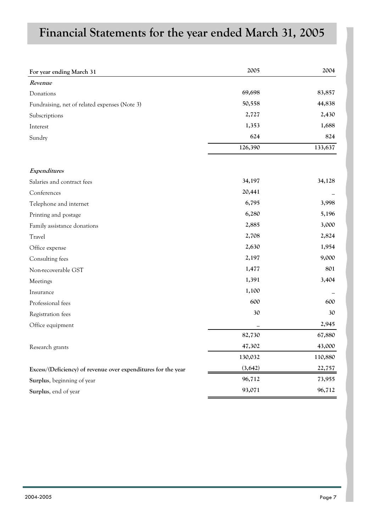# **Financial Statements for the year ended March 31, 2005**

| For year ending March 31                                      | 2005     | 2004    |
|---------------------------------------------------------------|----------|---------|
| Revenue                                                       |          |         |
| Donations                                                     | 69,698   | 83,857  |
| Fundraising, net of related expenses (Note 3)                 | 50,558   | 44,838  |
| Subscriptions                                                 | 2,727    | 2,430   |
| Interest                                                      | 1,353    | 1,688   |
| Sundry                                                        | 624      | 824     |
|                                                               | 126,390  | 133,637 |
| Expenditures                                                  |          |         |
| Salaries and contract fees                                    | 34,197   | 34,128  |
| Conferences                                                   | 20,441   |         |
| Telephone and internet                                        | 6,795    | 3,998   |
| Printing and postage                                          | 6,280    | 5,196   |
| Family assistance donations                                   | 2,885    | 3,000   |
| Travel                                                        | 2,708    | 2,824   |
| Office expense                                                | 2,630    | 1,954   |
| Consulting fees                                               | 2,197    | 9,000   |
| Non-recoverable GST                                           | 1,477    | 801     |
| Meetings                                                      | 1,391    | 3,404   |
| Insurance                                                     | 1,100    |         |
| Professional fees                                             | 600      | 600     |
| Registration fees                                             | 30       | 30      |
| Office equipment                                              |          | 2,945   |
|                                                               | 82,730   | 67,880  |
| Research grants                                               | 47,302   | 43,000  |
|                                                               | 130,032  | 110,880 |
| Excess/(Deficiency) of revenue over expenditures for the year | (3, 642) | 22,757  |
| Surplus, beginning of year                                    | 96,712   | 73,955  |
| Surplus, end of year                                          | 93,071   | 96,712  |